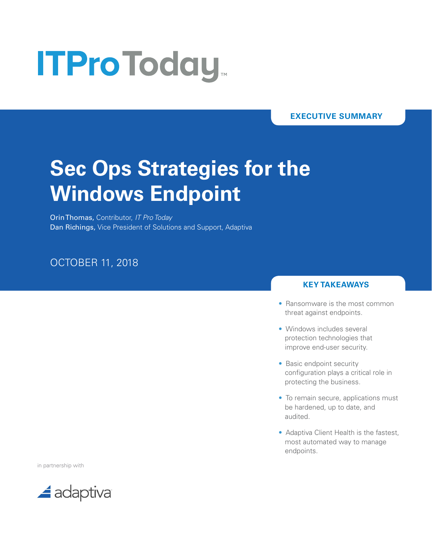# **ITProToday**

#### **EXECUTIVE SUMMARY**

## **Sec Ops Strategies for the Windows Endpoint**

Orin Thomas, Contributor, *IT Pro Today* Dan Richings, Vice President of Solutions and Support, Adaptiva

### OCTOBER 11, 2018

#### **KEY TAKEAWAYS**

- Ransomware is the most common threat against endpoints.
- Windows includes several protection technologies that improve end-user security.
- Basic endpoint security configuration plays a critical role in protecting the business.
- To remain secure, applications must be hardened, up to date, and audited.
- Adaptiva Client Health is the fastest, most automated way to manage endpoints.

in partnership with

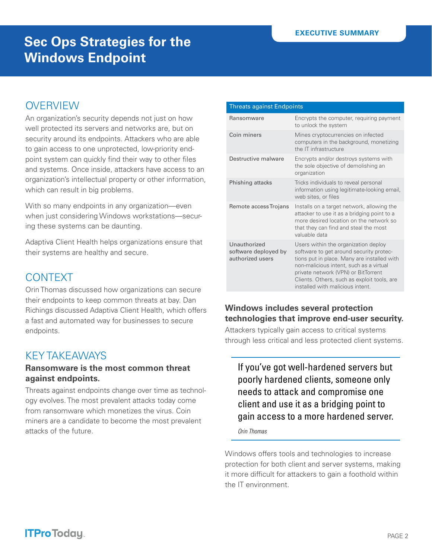## **OVERVIEW**

An organization's security depends not just on how well protected its servers and networks are, but on security around its endpoints. Attackers who are able to gain access to one unprotected, low-priority endpoint system can quickly find their way to other files and systems. Once inside, attackers have access to an organization's intellectual property or other information, which can result in big problems.

With so many endpoints in any organization—even when just considering Windows workstations—securing these systems can be daunting.

Adaptiva Client Health helps organizations ensure that their systems are healthy and secure.

## **CONTEXT**

Orin Thomas discussed how organizations can secure their endpoints to keep common threats at bay. Dan Richings discussed Adaptiva Client Health, which offers a fast and automated way for businesses to secure endpoints.

## KEY TAKEAWAYS

#### **Ransomware is the most common threat against endpoints.**

Threats against endpoints change over time as technology evolves. The most prevalent attacks today come from ransomware which monetizes the virus. Coin miners are a candidate to become the most prevalent attacks of the future.

|  | <b>Threats against Endpoints</b> |  |
|--|----------------------------------|--|
|  |                                  |  |

| Ransomware                                               | Encrypts the computer, requiring payment<br>to unlock the system                                                                                                                                                                                                                                    |
|----------------------------------------------------------|-----------------------------------------------------------------------------------------------------------------------------------------------------------------------------------------------------------------------------------------------------------------------------------------------------|
| Coin miners                                              | Mines cryptocurrencies on infected<br>computers in the background, monetizing<br>the IT infrastructure                                                                                                                                                                                              |
| Destructive malware                                      | Encrypts and/or destroys systems with<br>the sole objective of demolishing an<br>organization                                                                                                                                                                                                       |
| Phishing attacks                                         | Tricks individuals to reveal personal<br>information using legitimate-looking email,<br>web sites, or files                                                                                                                                                                                         |
| Remote access Trojans                                    | Installs on a target network, allowing the<br>attacker to use it as a bridging point to a<br>more desired location on the network so<br>that they can find and steal the most<br>valuable data                                                                                                      |
| Unauthorized<br>software deployed by<br>authorized users | Users within the organization deploy<br>software to get around security protec-<br>tions put in place. Many are installed with<br>non-malicious intent, such as a virtual<br>private network (VPN) or BitTorrent<br>Clients. Others, such as exploit tools, are<br>installed with malicious intent. |

#### **Windows includes several protection technologies that improve end-user security.**

Attackers typically gain access to critical systems through less critical and less protected client systems.

If you've got well-hardened servers but poorly hardened clients, someone only needs to attack and compromise one client and use it as a bridging point to gain access to a more hardened server.

*Orin Thomas*

Windows offers tools and technologies to increase protection for both client and server systems, making it more difficult for attackers to gain a foothold within the IT environment.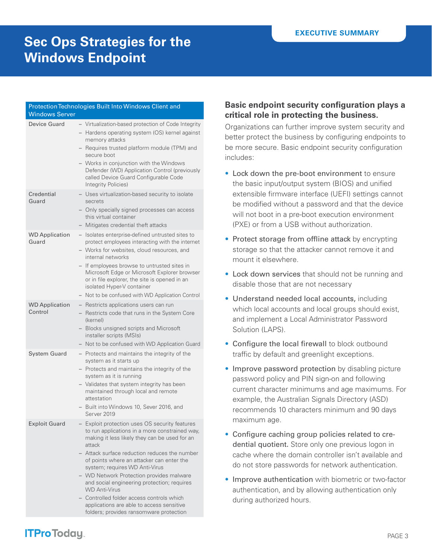#### Protection Technologies Built Into Windows Client and Windows Server Device Guard – Virtualization-based protection of Code Integrity – Hardens operating system (OS) kernel against memory attacks – Requires trusted platform module (TPM) and secure boot – Works in conjunction with the Windows Defender (WD) Application Control (previously called Device Guard Configurable Code Integrity Policies) **Credential** Guard – Uses virtualization-based security to isolate secrets – Only specially signed processes can access this virtual container – Mitigates credential theft attacks WD Application Guard – Isolates enterprise-defined untrusted sites to protect employees interacting with the internet – Works for websites, cloud resources, and internal networks – If employees browse to untrusted sites in Microsoft Edge or Microsoft Explorer browser or in file explorer, the site is opened in an isolated Hyper-V container – Not to be confused with WD Application Control WD Application Control – Restricts applications users can run – Restricts code that runs in the System Core (kernel) – Blocks unsigned scripts and Microsoft installer scripts (MSIs) – Not to be confused with WD Application Guard System Guard – Protects and maintains the integrity of the system as it starts up – Protects and maintains the integrity of the system as it is running – Validates that system integrity has been maintained through local and remote attestation – Built into Windows 10, Sever 2016, and Server 2019 Exploit Guard – Exploit protection uses OS security features to run applications in a more constrained way, making it less likely they can be used for an attack – Attack surface reduction reduces the number of points where an attacker can enter the system; requires WD Anti-Virus – WD Network Protection provides malware and social engineering protection; requires WD Anti-Virus – Controlled folder access controls which applications are able to access sensitive

folders; provides ransomware protection

#### **Basic endpoint security configuration plays a critical role in protecting the business.**

Organizations can further improve system security and better protect the business by configuring endpoints to be more secure. Basic endpoint security configuration includes:

- Lock down the pre-boot environment to ensure the basic input/output system (BIOS) and unified extensible firmware interface (UEFI) settings cannot be modified without a password and that the device will not boot in a pre-boot execution environment (PXE) or from a USB without authorization.
- Protect storage from offline attack by encrypting storage so that the attacker cannot remove it and mount it elsewhere.
- Lock down services that should not be running and disable those that are not necessary
- Understand needed local accounts, including which local accounts and local groups should exist, and implement a Local Administrator Password Solution (LAPS).
- Configure the local firewall to block outbound traffic by default and greenlight exceptions.
- Improve password protection by disabling picture password policy and PIN sign-on and following current character minimums and age maximums. For example, the Australian Signals Directory (ASD) recommends 10 characters minimum and 90 days maximum age.
- Configure caching group policies related to credential quotient. Store only one previous logon in cache where the domain controller isn't available and do not store passwords for network authentication.
- Improve authentication with biometric or two-factor authentication, and by allowing authentication only during authorized hours.

## **ITProToday**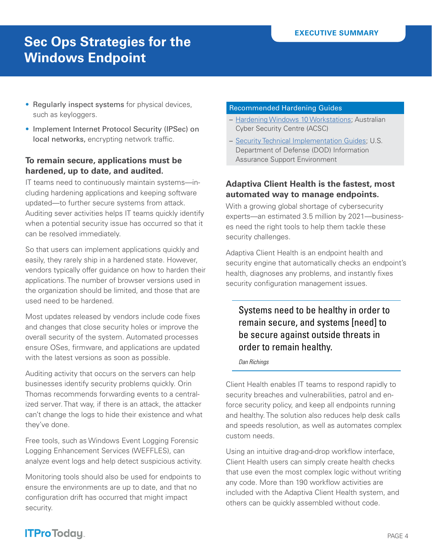- Regularly inspect systems for physical devices, such as keyloggers.
- Implement Internet Protocol Security (IPSec) on local networks, encrypting network traffic.

#### **To remain secure, applications must be hardened, up to date, and audited.**

IT teams need to continuously maintain systems—including hardening applications and keeping software updated—to further secure systems from attack. Auditing sever activities helps IT teams quickly identify when a potential security issue has occurred so that it can be resolved immediately.

So that users can implement applications quickly and easily, they rarely ship in a hardened state. However, vendors typically offer guidance on how to harden their applications. The number of browser versions used in the organization should be limited, and those that are used need to be hardened.

Most updates released by vendors include code fixes and changes that close security holes or improve the overall security of the system. Automated processes ensure OSes, firmware, and applications are updated with the latest versions as soon as possible.

Auditing activity that occurs on the servers can help businesses identify security problems quickly. Orin Thomas recommends forwarding events to a centralized server. That way, if there is an attack, the attacker can't change the logs to hide their existence and what they've done.

Free tools, such as Windows Event Logging Forensic Logging Enhancement Services (WEFFLES), can analyze event logs and help detect suspicious activity.

Monitoring tools should also be used for endpoints to ensure the environments are up to date, and that no configuration drift has occurred that might impact security.

#### Recommended Hardening Guides

- [Hardening Windows 10 Workstations;](https://acsc.gov.au/publications/protect/hardening-win10.htm) Australian Cyber Security Centre (ACSC)
- [Security Technical Implementation Guides;](https://iase.disa.mil/stigs/Pages/index.aspx) U.S. Department of Defense (DOD) Information Assurance Support Environment

#### **Adaptiva Client Health is the fastest, most automated way to manage endpoints.**

With a growing global shortage of cybersecurity experts—an estimated 3.5 million by 2021—businesses need the right tools to help them tackle these security challenges.

Adaptiva Client Health is an endpoint health and security engine that automatically checks an endpoint's health, diagnoses any problems, and instantly fixes security configuration management issues.

#### Systems need to be healthy in order to remain secure, and systems [need] to be secure against outside threats in order to remain healthy.

*Dan Richings*

Client Health enables IT teams to respond rapidly to security breaches and vulnerabilities, patrol and enforce security policy, and keep all endpoints running and healthy. The solution also reduces help desk calls and speeds resolution, as well as automates complex custom needs.

Using an intuitive drag-and-drop workflow interface, Client Health users can simply create health checks that use even the most complex logic without writing any code. More than 190 workflow activities are included with the Adaptiva Client Health system, and others can be quickly assembled without code.

## **ITProToday**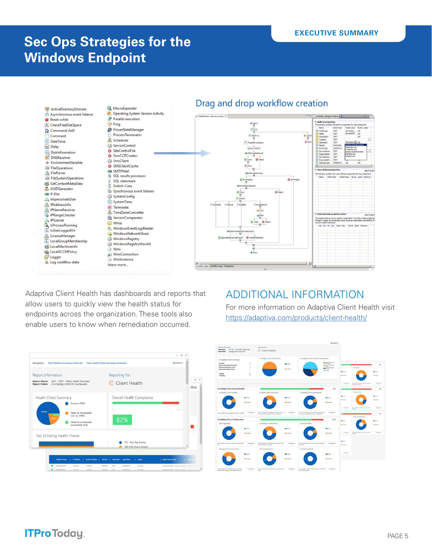

Adaptiva Client Health has dashboards and reports that allow users to quickly view the health status for endpoints across the organization. These tools also enable users to know when remediation occurred.



For more information on Adaptiva Client Health visit <https://adaptiva.com/products/client-health/>